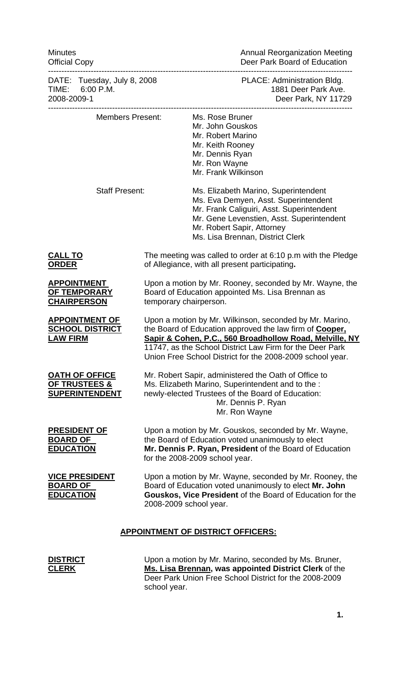Minutes Minutes **Annual Reorganization Meeting** Official Copy **Deer Park Board of Education** 

------------------------------------------------------------------------------------------------------------------ DATE: Tuesday, July 8, 2008 **PLACE: Administration Bldg.** TIME: 6:00 P.M. 1881 Deer Park Ave. 2008-2009-1 Deer Park, NY 11729 ------------------------------------------------------------------------------------------------------------------ Members Present: Ms. Rose Bruner Mr. John Gouskos Mr. Robert Marino Mr. Keith Rooney Mr. Dennis Ryan Mr. Ron Wayne Mr. Frank Wilkinson Staff Present: Ms. Elizabeth Marino, Superintendent Ms. Eva Demyen, Asst. Superintendent Mr. Frank Caliguiri, Asst. Superintendent Mr. Gene Levenstien, Asst. Superintendent Mr. Robert Sapir, Attorney Ms. Lisa Brennan, District Clerk **CALL TO** The meeting was called to order at 6:10 p.m with the Pledge **ORDER** of Allegiance, with all present participating**. APPOINTMENT** Upon a motion by Mr. Rooney, seconded by Mr. Wayne, the **OF TEMPORARY** Board of Education appointed Ms. Lisa Brennan as **CHAIRPERSON temporary chairperson. APPOINTMENT OF** Upon a motion by Mr. Wilkinson, seconded by Mr. Marino, **SCHOOL DISTRICT** the Board of Education approved the law firm of **Cooper**, **LAW FIRM Sapir & Cohen, P.C., 560 Broadhollow Road, Melville, NY** 11747, as the School District Law Firm for the Deer Park Union Free School District for the 2008-2009 school year. **OATH OF OFFICE** Mr. Robert Sapir, administered the Oath of Office to **OF TRUSTEES &** Ms. Elizabeth Marino, Superintendent and to the : **SUPERINTENDENT** newly-elected Trustees of the Board of Education: Mr. Dennis P. Ryan Mr. Ron Wayne **PRESIDENT OF** Upon a motion by Mr. Gouskos, seconded by Mr. Wayne, **BOARD OF the Board of Education voted unanimously to elect EDUCATION Mr. Dennis P. Ryan, President** of the Board of Education for the 2008-2009 school year. **VICE PRESIDENT** Upon a motion by Mr. Wayne, seconded by Mr. Rooney, the **BOARD OF** Board of Education voted unanimously to elect **Mr. John EDUCATION Gouskos, Vice President** of the Board of Education for the 2008-2009 school year.  **APPOINTMENT OF DISTRICT OFFICERS:**

**DISTRICT** Upon a motion by Mr. Marino, seconded by Ms. Bruner, **CLERK Ms. Lisa Brennan, was appointed District Clerk** of the Deer Park Union Free School District for the 2008-2009 school year.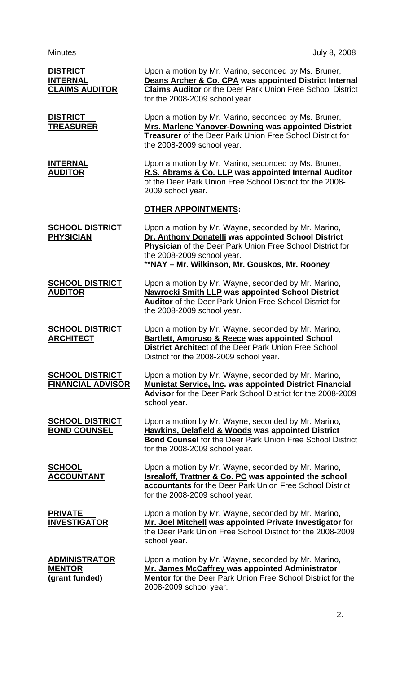| <b>DISTRICT</b><br><b>INTERNAL</b><br><b>CLAIMS AUDITOR</b> | Upon a motion by Mr. Marino, seconded by Ms. Bruner,<br>Deans Archer & Co. CPA was appointed District Internal<br><b>Claims Auditor or the Deer Park Union Free School District</b><br>for the 2008-2009 school year.                                   |
|-------------------------------------------------------------|---------------------------------------------------------------------------------------------------------------------------------------------------------------------------------------------------------------------------------------------------------|
| <b>DISTRICT</b><br><b>TREASURER</b>                         | Upon a motion by Mr. Marino, seconded by Ms. Bruner,<br>Mrs. Marlene Yanover-Downing was appointed District<br><b>Treasurer</b> of the Deer Park Union Free School District for<br>the 2008-2009 school year.                                           |
| <b>INTERNAL</b><br><b>AUDITOR</b>                           | Upon a motion by Mr. Marino, seconded by Ms. Bruner,<br>R.S. Abrams & Co. LLP was appointed Internal Auditor<br>of the Deer Park Union Free School District for the 2008-<br>2009 school year.                                                          |
|                                                             | <b>OTHER APPOINTMENTS:</b>                                                                                                                                                                                                                              |
| <b>SCHOOL DISTRICT</b><br><b>PHYSICIAN</b>                  | Upon a motion by Mr. Wayne, seconded by Mr. Marino,<br>Dr. Anthony Donatelli was appointed School District<br>Physician of the Deer Park Union Free School District for<br>the 2008-2009 school year.<br>**NAY - Mr. Wilkinson, Mr. Gouskos, Mr. Rooney |
| <b>SCHOOL DISTRICT</b><br><b>AUDITOR</b>                    | Upon a motion by Mr. Wayne, seconded by Mr. Marino,<br><b>Nawrocki Smith LLP was appointed School District</b><br>Auditor of the Deer Park Union Free School District for<br>the 2008-2009 school year.                                                 |
| <b>SCHOOL DISTRICT</b><br><b>ARCHITECT</b>                  | Upon a motion by Mr. Wayne, seconded by Mr. Marino,<br><b>Bartlett, Amoruso &amp; Reece was appointed School</b><br><b>District Architect of the Deer Park Union Free School</b><br>District for the 2008-2009 school year.                             |
| <b>SCHOOL DISTRICT</b><br><b>FINANCIAL ADVISOR</b>          | Upon a motion by Mr. Wayne, seconded by Mr. Marino,<br><b>Munistat Service, Inc. was appointed District Financial</b><br><b>Advisor</b> for the Deer Park School District for the 2008-2009<br>school year.                                             |
| <b>SCHOOL DISTRICT</b><br><b>BOND COUNSEL</b>               | Upon a motion by Mr. Wayne, seconded by Mr. Marino,<br>Hawkins, Delafield & Woods was appointed District<br><b>Bond Counsel for the Deer Park Union Free School District</b><br>for the 2008-2009 school year.                                          |
| <b>SCHOOL</b><br><b>ACCOUNTANT</b>                          | Upon a motion by Mr. Wayne, seconded by Mr. Marino,<br>Isrealoff, Trattner & Co. PC was appointed the school<br>accountants for the Deer Park Union Free School District<br>for the 2008-2009 school year.                                              |
| <b>PRIVATE</b><br><b>INVESTIGATOR</b>                       | Upon a motion by Mr. Wayne, seconded by Mr. Marino,<br>Mr. Joel Mitchell was appointed Private Investigator for<br>the Deer Park Union Free School District for the 2008-2009<br>school year.                                                           |
| <b>ADMINISTRATOR</b><br><b>MENTOR</b><br>(grant funded)     | Upon a motion by Mr. Wayne, seconded by Mr. Marino,<br>Mr. James McCaffrey was appointed Administrator<br><b>Mentor</b> for the Deer Park Union Free School District for the<br>2008-2009 school year.                                                  |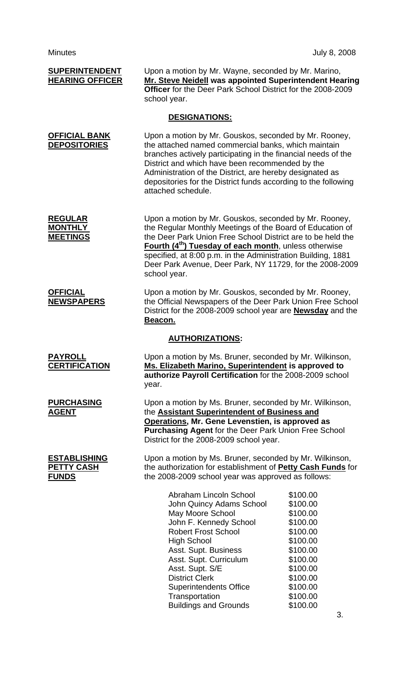| <b>SUPERINTENDENT</b><br><b>HEARING OFFICER</b>          | Upon a motion by Mr. Wayne, seconded by Mr. Marino,<br>Mr. Steve Neidell was appointed Superintendent Hearing<br>Officer for the Deer Park School District for the 2008-2009<br>school year.                                                                                                                                                                                                       |                                                                                                                                                          |  |  |
|----------------------------------------------------------|----------------------------------------------------------------------------------------------------------------------------------------------------------------------------------------------------------------------------------------------------------------------------------------------------------------------------------------------------------------------------------------------------|----------------------------------------------------------------------------------------------------------------------------------------------------------|--|--|
| <b>DESIGNATIONS:</b>                                     |                                                                                                                                                                                                                                                                                                                                                                                                    |                                                                                                                                                          |  |  |
| <b>OFFICIAL BANK</b><br><b>DEPOSITORIES</b>              | Upon a motion by Mr. Gouskos, seconded by Mr. Rooney,<br>the attached named commercial banks, which maintain<br>branches actively participating in the financial needs of the<br>District and which have been recommended by the<br>Administration of the District, are hereby designated as<br>depositories for the District funds according to the following<br>attached schedule.               |                                                                                                                                                          |  |  |
| <b>REGULAR</b><br><b>MONTHLY</b><br><b>MEETINGS</b>      | Upon a motion by Mr. Gouskos, seconded by Mr. Rooney,<br>the Regular Monthly Meetings of the Board of Education of<br>the Deer Park Union Free School District are to be held the<br>Fourth (4 <sup>th</sup> ) Tuesday of each month, unless otherwise<br>specified, at 8:00 p.m. in the Administration Building, 1881<br>Deer Park Avenue, Deer Park, NY 11729, for the 2008-2009<br>school year. |                                                                                                                                                          |  |  |
| <b>OFFICIAL</b><br><b>NEWSPAPERS</b>                     | Upon a motion by Mr. Gouskos, seconded by Mr. Rooney,<br>the Official Newspapers of the Deer Park Union Free School<br>District for the 2008-2009 school year are <b>Newsday</b> and the<br>Beacon.                                                                                                                                                                                                |                                                                                                                                                          |  |  |
|                                                          | <b>AUTHORIZATIONS:</b>                                                                                                                                                                                                                                                                                                                                                                             |                                                                                                                                                          |  |  |
| <b>PAYROLL</b><br><b>CERTIFICATION</b>                   | Upon a motion by Ms. Bruner, seconded by Mr. Wilkinson,<br>Ms. Elizabeth Marino, Superintendent is approved to<br>authorize Payroll Certification for the 2008-2009 school<br>year.                                                                                                                                                                                                                |                                                                                                                                                          |  |  |
| <b>PURCHASING</b><br><b>AGENT</b>                        | Upon a motion by Ms. Bruner, seconded by Mr. Wilkinson,<br>the Assistant Superintendent of Business and<br>Operations, Mr. Gene Levenstien, is approved as<br><b>Purchasing Agent for the Deer Park Union Free School</b><br>District for the 2008-2009 school year.                                                                                                                               |                                                                                                                                                          |  |  |
| <b>ESTABLISHING</b><br><b>PETTY CASH</b><br><b>FUNDS</b> | Upon a motion by Ms. Bruner, seconded by Mr. Wilkinson,<br>the authorization for establishment of Petty Cash Funds for<br>the 2008-2009 school year was approved as follows:                                                                                                                                                                                                                       |                                                                                                                                                          |  |  |
|                                                          | Abraham Lincoln School<br>John Quincy Adams School<br>May Moore School<br>John F. Kennedy School<br><b>Robert Frost School</b><br><b>High School</b><br>Asst. Supt. Business<br>Asst. Supt. Curriculum<br>Asst. Supt. S/E<br><b>District Clerk</b><br><b>Superintendents Office</b><br>Transportation<br><b>Buildings and Grounds</b>                                                              | \$100.00<br>\$100.00<br>\$100.00<br>\$100.00<br>\$100.00<br>\$100.00<br>\$100.00<br>\$100.00<br>\$100.00<br>\$100.00<br>\$100.00<br>\$100.00<br>\$100.00 |  |  |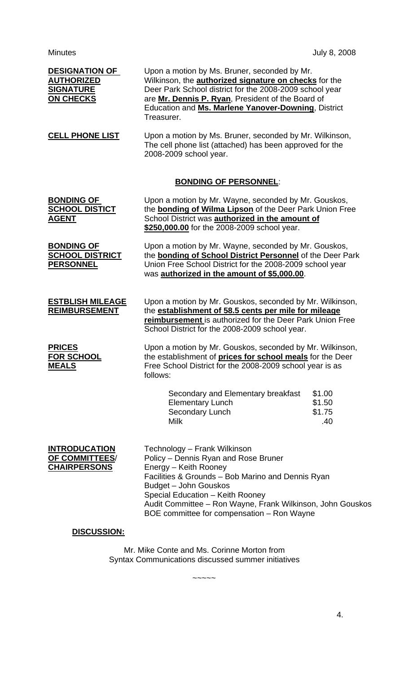| <b>DESIGNATION OF</b><br><b>AUTHORIZED</b><br><b>SIGNATURE</b><br><b>ON CHECKS</b> | Upon a motion by Ms. Bruner, seconded by Mr.<br>Wilkinson, the <b>authorized signature on checks</b> for the<br>Deer Park School district for the 2008-2009 school year<br>are Mr. Dennis P. Ryan, President of the Board of<br>Education and Ms. Marlene Yanover-Downing, District<br>Treasurer.                           |                                   |
|------------------------------------------------------------------------------------|-----------------------------------------------------------------------------------------------------------------------------------------------------------------------------------------------------------------------------------------------------------------------------------------------------------------------------|-----------------------------------|
| <b>CELL PHONE LIST</b>                                                             | Upon a motion by Ms. Bruner, seconded by Mr. Wilkinson,<br>The cell phone list (attached) has been approved for the<br>2008-2009 school year.                                                                                                                                                                               |                                   |
|                                                                                    | <b>BONDING OF PERSONNEL:</b>                                                                                                                                                                                                                                                                                                |                                   |
| <b>BONDING OF</b><br><b>SCHOOL DISTICT</b><br><b>AGENT</b>                         | Upon a motion by Mr. Wayne, seconded by Mr. Gouskos,<br>the <b>bonding of Wilma Lipson</b> of the Deer Park Union Free<br>School District was authorized in the amount of<br>\$250,000.00 for the 2008-2009 school year.                                                                                                    |                                   |
| <b>BONDING OF</b><br><b>SCHOOL DISTRICT</b><br><b>PERSONNEL</b>                    | Upon a motion by Mr. Wayne, seconded by Mr. Gouskos,<br>the <b>bonding of School District Personnel</b> of the Deer Park<br>Union Free School District for the 2008-2009 school year<br>was authorized in the amount of \$5,000.00.                                                                                         |                                   |
| <b>ESTBLISH MILEAGE</b><br><b>REIMBURSEMENT</b>                                    | Upon a motion by Mr. Gouskos, seconded by Mr. Wilkinson,<br>the establishment of 58.5 cents per mile for mileage<br>reimbursement is authorized for the Deer Park Union Free<br>School District for the 2008-2009 school year.                                                                                              |                                   |
| <b>PRICES</b><br><b>FOR SCHOOL</b><br><b>MEALS</b>                                 | Upon a motion by Mr. Gouskos, seconded by Mr. Wilkinson,<br>the establishment of prices for school meals for the Deer<br>Free School District for the 2008-2009 school year is as<br>follows:                                                                                                                               |                                   |
|                                                                                    | Secondary and Elementary breakfast<br><b>Elementary Lunch</b><br>Secondary Lunch<br><b>Milk</b>                                                                                                                                                                                                                             | \$1.00<br>\$1.50<br>\$1.75<br>.40 |
| <b>INTRODUCATION</b><br>OF COMMITTEES/<br><b>CHAIRPERSONS</b>                      | Technology – Frank Wilkinson<br>Policy - Dennis Ryan and Rose Bruner<br>Energy - Keith Rooney<br>Facilities & Grounds - Bob Marino and Dennis Ryan<br>Budget - John Gouskos<br>Special Education - Keith Rooney<br>Audit Committee - Ron Wayne, Frank Wilkinson, John Gouskos<br>BOE committee for compensation - Ron Wayne |                                   |
| DISCUSSION:                                                                        |                                                                                                                                                                                                                                                                                                                             |                                   |

Mr. Mike Conte and Ms. Corinne Morton from Syntax Communications discussed summer initiatives

 $\sim\sim\sim\sim\sim$ 

4.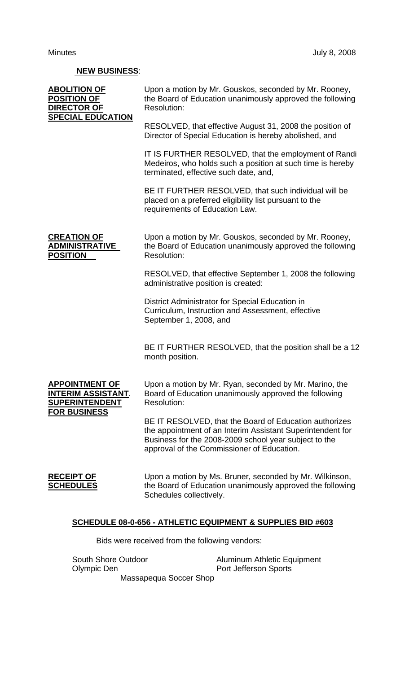### **NEW BUSINESS**:

| <b>ABOLITION OF</b><br><b>POSITION OF</b><br><b>DIRECTOR OF</b><br><b>SPECIAL EDUCATION</b>        | Upon a motion by Mr. Gouskos, seconded by Mr. Rooney,<br>the Board of Education unanimously approved the following<br>Resolution:                                                                                           |
|----------------------------------------------------------------------------------------------------|-----------------------------------------------------------------------------------------------------------------------------------------------------------------------------------------------------------------------------|
|                                                                                                    | RESOLVED, that effective August 31, 2008 the position of<br>Director of Special Education is hereby abolished, and                                                                                                          |
|                                                                                                    | IT IS FURTHER RESOLVED, that the employment of Randi<br>Medeiros, who holds such a position at such time is hereby<br>terminated, effective such date, and,                                                                 |
|                                                                                                    | BE IT FURTHER RESOLVED, that such individual will be<br>placed on a preferred eligibility list pursuant to the<br>requirements of Education Law.                                                                            |
| <b>CREATION OF</b><br><b>ADMINISTRATIVE</b><br><b>POSITION</b>                                     | Upon a motion by Mr. Gouskos, seconded by Mr. Rooney,<br>the Board of Education unanimously approved the following<br>Resolution:                                                                                           |
|                                                                                                    | RESOLVED, that effective September 1, 2008 the following<br>administrative position is created:                                                                                                                             |
|                                                                                                    | District Administrator for Special Education in<br>Curriculum, Instruction and Assessment, effective<br>September 1, 2008, and                                                                                              |
|                                                                                                    | BE IT FURTHER RESOLVED, that the position shall be a 12<br>month position.                                                                                                                                                  |
| <u>APPOINTMENT OF</u><br><b>INTERIM ASSISTANT.</b><br><b>SUPERINTENDENT</b><br><b>FOR BUSINESS</b> | Upon a motion by Mr. Ryan, seconded by Mr. Marino, the<br>Board of Education unanimously approved the following<br>Resolution:                                                                                              |
|                                                                                                    | BE IT RESOLVED, that the Board of Education authorizes<br>the appointment of an Interim Assistant Superintendent for<br>Business for the 2008-2009 school year subject to the<br>approval of the Commissioner of Education. |
| <b>RECEIPT OF</b><br><b>SCHEDULES</b>                                                              | Upon a motion by Ms. Bruner, seconded by Mr. Wilkinson,<br>the Board of Education unanimously approved the following<br>Schedules collectively.                                                                             |

# **SCHEDULE 08-0-656 - ATHLETIC EQUIPMENT & SUPPLIES BID #603**

Bids were received from the following vendors:

South Shore Outdoor **Aluminum Athletic Equipment**<br>
Olympic Den **Aluminum Athletic Equipment** Port Jefferson Sports

Massapequa Soccer Shop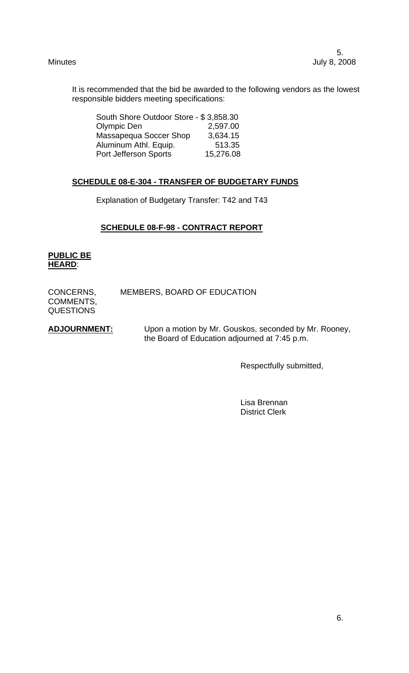It is recommended that the bid be awarded to the following vendors as the lowest responsible bidders meeting specifications:

| South Shore Outdoor Store - \$3,858.30 |           |
|----------------------------------------|-----------|
| Olympic Den                            | 2,597.00  |
| Massapequa Soccer Shop                 | 3,634.15  |
| Aluminum Athl. Equip.                  | 513.35    |
| Port Jefferson Sports                  | 15,276.08 |

#### **SCHEDULE 08-E-304 - TRANSFER OF BUDGETARY FUNDS**

Explanation of Budgetary Transfer: T42 and T43

### **SCHEDULE 08-F-98 - CONTRACT REPORT**

**PUBLIC BE HEARD**:

CONCERNS, MEMBERS, BOARD OF EDUCATION COMMENTS, QUESTIONS

**ADJOURNMENT:** Upon a motion by Mr. Gouskos, seconded by Mr. Rooney, the Board of Education adjourned at 7:45 p.m.

Respectfully submitted,

 Lisa Brennan District Clerk